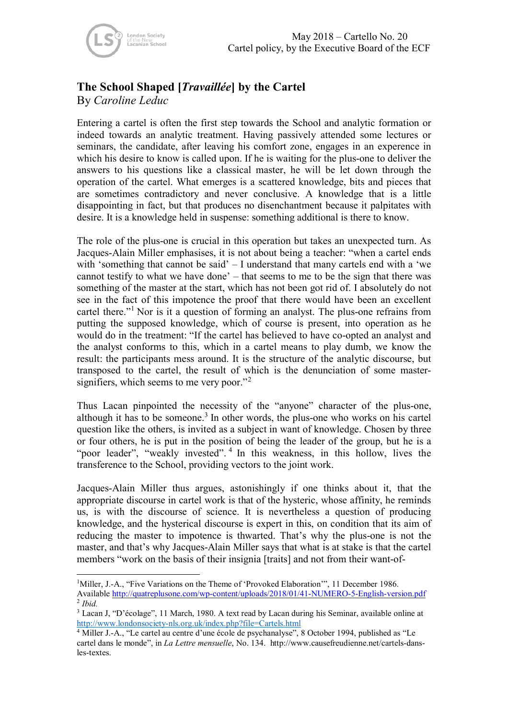## **The School Shaped [***Travaillée***] by the Cartel**

By *Caroline Leduc*

Entering a cartel is often the first step towards the School and analytic formation or indeed towards an analytic treatment. Having passively attended some lectures or seminars, the candidate, after leaving his comfort zone, engages in an experence in which his desire to know is called upon. If he is waiting for the plus-one to deliver the answers to his questions like a classical master, he will be let down through the operation of the cartel. What emerges is a scattered knowledge, bits and pieces that are sometimes contradictory and never conclusive. A knowledge that is a little disappointing in fact, but that produces no disenchantment because it palpitates with desire. It is a knowledge held in suspense: something additional is there to know.

The role of the plus-one is crucial in this operation but takes an unexpected turn. As Jacques-Alain Miller emphasises, it is not about being a teacher: "when a cartel ends with 'something that cannot be said' – I understand that many cartels end with a 'we cannot testify to what we have done' – that seems to me to be the sign that there was something of the master at the start, which has not been got rid of. I absolutely do not see in the fact of this impotence the proof that there would have been an excellent cartel there."[1](#page-0-0) Nor is it a question of forming an analyst. The plus-one refrains from putting the supposed knowledge, which of course is present, into operation as he would do in the treatment: "If the cartel has believed to have co-opted an analyst and the analyst conforms to this, which in a cartel means to play dumb, we know the result: the participants mess around. It is the structure of the analytic discourse, but transposed to the cartel, the result of which is the denunciation of some master-signifiers, which seems to me very poor."<sup>[2](#page-0-1)</sup>

Thus Lacan pinpointed the necessity of the "anyone" character of the plus-one, although it has to be someone. [3](#page-0-2) In other words, the plus-one who works on his cartel question like the others, is invited as a subject in want of knowledge. Chosen by three or four others, he is put in the position of being the leader of the group, but he is a "poor leader", "weakly invested".<sup>[4](#page-0-3)</sup> In this weakness, in this hollow, lives the transference to the School, providing vectors to the joint work.

Jacques-Alain Miller thus argues, astonishingly if one thinks about it, that the appropriate discourse in cartel work is that of the hysteric, whose affinity, he reminds us, is with the discourse of science. It is nevertheless a question of producing knowledge, and the hysterical discourse is expert in this, on condition that its aim of reducing the master to impotence is thwarted. That's why the plus-one is not the master, and that's why Jacques-Alain Miller says that what is at stake is that the cartel members "work on the basis of their insignia [traits] and not from their want-of-

<span id="page-0-0"></span><sup>&</sup>lt;sup>1</sup>Miller, J.-A., "Five Variations on the Theme of 'Provoked Elaboration'", 11 December 1986. Available<http://quatreplusone.com/wp-content/uploads/2018/01/41-NUMERO-5-English-version.pdf> <sup>2</sup> *Ibid.*

<span id="page-0-2"></span><span id="page-0-1"></span><sup>3</sup> Lacan J, "D'écolage", 11 March, 1980. A text read by Lacan during his Seminar, available online at <http://www.londonsociety-nls.org.uk/index.php?file=Cartels.html>

<span id="page-0-3"></span><sup>4</sup> Miller J.-A., "Le cartel au centre d'une école de psychanalyse", 8 October 1994, published as "Le cartel dans le monde", in *La Lettre mensuelle*, No. 134. http://www.causefreudienne.net/cartels-dansles-textes.